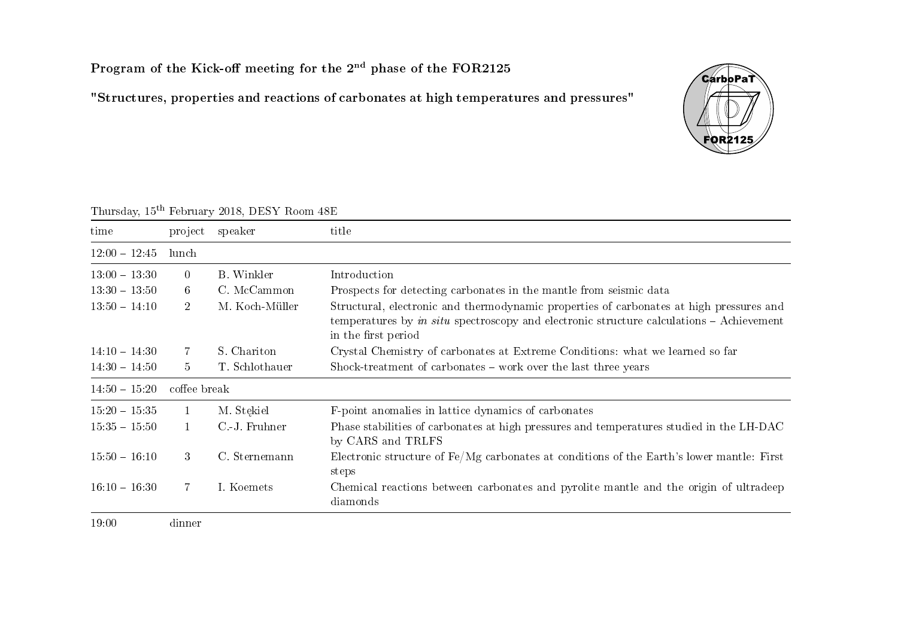## Program of the Kick-off meeting for the  $2<sup>nd</sup>$  phase of the FOR2125

"Structures, properties and reactions of carbonates at high temperatures and pressures"



| $\ldots$                    | roofdary role, Dibbi Room Roll |                   |                                                                                                                                                                                                              |  |
|-----------------------------|--------------------------------|-------------------|--------------------------------------------------------------------------------------------------------------------------------------------------------------------------------------------------------------|--|
| time                        |                                | project speaker   | title                                                                                                                                                                                                        |  |
| $12:00 - 12:45$             | lunch                          |                   |                                                                                                                                                                                                              |  |
| $13.00 - 13.30$             | $\overline{0}$                 | <b>B.</b> Winkler | Introduction                                                                                                                                                                                                 |  |
| $13 \cdot 30 - 13 \cdot 50$ | 6 <sup>1</sup>                 | C. McCammon       | Prospects for detecting carbonates in the mantle from seismic data                                                                                                                                           |  |
| $13:50 - 14:10$             | $2^{\circ}$                    | M. Koch-Müller    | Structural, electronic and thermodynamic properties of carbonates at high pressures and<br>temperatures by in situ spectroscopy and electronic structure calculations $-$ Achievement<br>in the first period |  |
| $14:10 - 14:30$             | -7.                            | S. Chariton       | Crystal Chemistry of carbonates at Extreme Conditions: what we learned so far                                                                                                                                |  |
| $14:30 - 14:50$             | $5^{\circ}$                    | T. Schlothauer    | Shock-treatment of carbonates – work over the last three years                                                                                                                                               |  |
| $14:50 - 15:20$             | coffee break                   |                   |                                                                                                                                                                                                              |  |
| $15.20 - 15.35$             | $\mathbf{1}$                   | M. Stękiel        | F-point anomalies in lattice dynamics of carbonates                                                                                                                                                          |  |
| $15:35 - 15:50$             | $\mathbf{1}$                   | C.J. Fruhner      | Phase stabilities of carbonates at high pressures and temperatures studied in the LH-DAC<br>by CARS and TRLFS                                                                                                |  |
| $15:50 - 16:10$             | 3 <sup>1</sup>                 | C. Sternemann     | Electronic structure of $Fe/Mg$ carbonates at conditions of the Earth's lower mantle: First<br>steps                                                                                                         |  |
| $16:10 - 16:30$             | $7\phantom{.}$                 | I. Koemets        | Chemical reactions between carbonates and pyrolite mantle and the origin of ultradeep<br>diamonds                                                                                                            |  |
| 19:00                       | dinner                         |                   |                                                                                                                                                                                                              |  |

## Thursday, 15th February 2018, DESY Room 48E